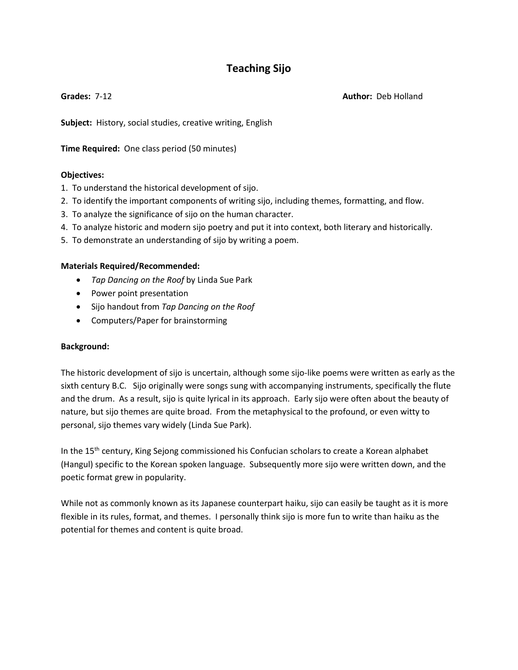# **Teaching Sijo**

**Grades:** 7-12 **Author:** Deb Holland

**Subject:** History, social studies, creative writing, English

**Time Required:** One class period (50 minutes)

# **Objectives:**

- 1. To understand the historical development of sijo.
- 2. To identify the important components of writing sijo, including themes, formatting, and flow.
- 3. To analyze the significance of sijo on the human character.
- 4. To analyze historic and modern sijo poetry and put it into context, both literary and historically.
- 5. To demonstrate an understanding of sijo by writing a poem.

#### **Materials Required/Recommended:**

- *Tap Dancing on the Roof* by Linda Sue Park
- Power point presentation
- Sijo handout from *Tap Dancing on the Roof*
- Computers/Paper for brainstorming

# **Background:**

The historic development of sijo is uncertain, although some sijo-like poems were written as early as the sixth century B.C. Sijo originally were songs sung with accompanying instruments, specifically the flute and the drum. As a result, sijo is quite lyrical in its approach. Early sijo were often about the beauty of nature, but sijo themes are quite broad. From the metaphysical to the profound, or even witty to personal, sijo themes vary widely (Linda Sue Park).

In the 15<sup>th</sup> century, King Sejong commissioned his Confucian scholars to create a Korean alphabet (Hangul) specific to the Korean spoken language. Subsequently more sijo were written down, and the poetic format grew in popularity.

While not as commonly known as its Japanese counterpart haiku, sijo can easily be taught as it is more flexible in its rules, format, and themes. I personally think sijo is more fun to write than haiku as the potential for themes and content is quite broad.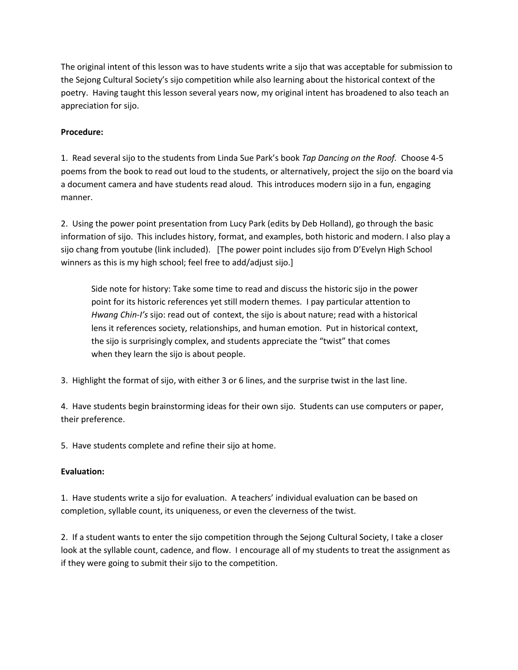The original intent of this lesson was to have students write a sijo that was acceptable for submission to the Sejong Cultural Society's sijo competition while also learning about the historical context of the poetry. Having taught this lesson several years now, my original intent has broadened to also teach an appreciation for sijo.

#### **Procedure:**

1. Read several sijo to the students from Linda Sue Park's book *Tap Dancing on the Roof.* Choose 4-5 poems from the book to read out loud to the students, or alternatively, project the sijo on the board via a document camera and have students read aloud. This introduces modern sijo in a fun, engaging manner.

2. Using the power point presentation from Lucy Park (edits by Deb Holland), go through the basic information of sijo. This includes history, format, and examples, both historic and modern. I also play a sijo chang from youtube (link included). [The power point includes sijo from D'Evelyn High School winners as this is my high school; feel free to add/adjust sijo.]

Side note for history: Take some time to read and discuss the historic sijo in the power point for its historic references yet still modern themes. I pay particular attention to *Hwang Chin-I's* sijo: read out of context, the sijo is about nature; read with a historical lens it references society, relationships, and human emotion. Put in historical context, the sijo is surprisingly complex, and students appreciate the "twist" that comes when they learn the sijo is about people.

3. Highlight the format of sijo, with either 3 or 6 lines, and the surprise twist in the last line.

4. Have students begin brainstorming ideas for their own sijo. Students can use computers or paper, their preference.

5. Have students complete and refine their sijo at home.

# **Evaluation:**

1. Have students write a sijo for evaluation. A teachers' individual evaluation can be based on completion, syllable count, its uniqueness, or even the cleverness of the twist.

2. If a student wants to enter the sijo competition through the Sejong Cultural Society, I take a closer look at the syllable count, cadence, and flow. I encourage all of my students to treat the assignment as if they were going to submit their sijo to the competition.